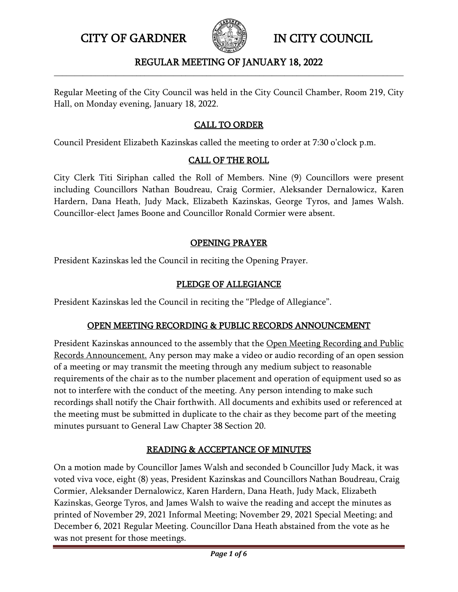

#### REGULAR MEETING OF JANUARY 18, 2022 **\_\_\_\_\_\_\_\_\_\_\_\_\_\_\_\_\_\_\_\_\_\_\_\_\_\_\_\_\_\_\_\_\_\_\_\_\_\_\_\_\_\_\_\_\_\_\_\_\_\_\_\_\_\_\_\_\_\_\_\_\_\_\_\_\_\_\_\_\_\_\_\_\_\_\_\_\_\_\_\_\_\_\_\_\_**

Regular Meeting of the City Council was held in the City Council Chamber, Room 219, City Hall, on Monday evening, January 18, 2022.

# CALL TO ORDER

Council President Elizabeth Kazinskas called the meeting to order at 7:30 o'clock p.m.

### CALL OF THE ROLL

City Clerk Titi Siriphan called the Roll of Members. Nine (9) Councillors were present including Councillors Nathan Boudreau, Craig Cormier, Aleksander Dernalowicz, Karen Hardern, Dana Heath, Judy Mack, Elizabeth Kazinskas, George Tyros, and James Walsh. Councillor-elect James Boone and Councillor Ronald Cormier were absent.

### OPENING PRAYER

President Kazinskas led the Council in reciting the Opening Prayer.

### PLEDGE OF ALLEGIANCE

President Kazinskas led the Council in reciting the "Pledge of Allegiance".

### OPEN MEETING RECORDING & PUBLIC RECORDS ANNOUNCEMENT

President Kazinskas announced to the assembly that the Open Meeting Recording and Public Records Announcement. Any person may make a video or audio recording of an open session of a meeting or may transmit the meeting through any medium subject to reasonable requirements of the chair as to the number placement and operation of equipment used so as not to interfere with the conduct of the meeting. Any person intending to make such recordings shall notify the Chair forthwith. All documents and exhibits used or referenced at the meeting must be submitted in duplicate to the chair as they become part of the meeting minutes pursuant to General Law Chapter 38 Section 20.

### READING & ACCEPTANCE OF MINUTES

On a motion made by Councillor James Walsh and seconded b Councillor Judy Mack, it was voted viva voce, eight (8) yeas, President Kazinskas and Councillors Nathan Boudreau, Craig Cormier, Aleksander Dernalowicz, Karen Hardern, Dana Heath, Judy Mack, Elizabeth Kazinskas, George Tyros, and James Walsh to waive the reading and accept the minutes as printed of November 29, 2021 Informal Meeting; November 29, 2021 Special Meeting; and December 6, 2021 Regular Meeting. Councillor Dana Heath abstained from the vote as he was not present for those meetings.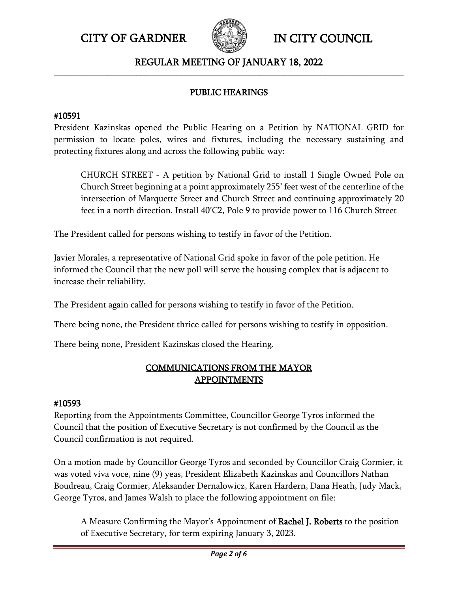

### REGULAR MEETING OF JANUARY 18, 2022 **\_\_\_\_\_\_\_\_\_\_\_\_\_\_\_\_\_\_\_\_\_\_\_\_\_\_\_\_\_\_\_\_\_\_\_\_\_\_\_\_\_\_\_\_\_\_\_\_\_\_\_\_\_\_\_\_\_\_\_\_\_\_\_\_\_\_\_\_\_\_\_\_\_\_\_\_\_\_\_\_\_\_\_\_\_**

# PUBLIC HEARINGS

# #10591

President Kazinskas opened the Public Hearing on a Petition by NATIONAL GRID for permission to locate poles, wires and fixtures, including the necessary sustaining and protecting fixtures along and across the following public way:

CHURCH STREET - A petition by National Grid to install 1 Single Owned Pole on Church Street beginning at a point approximately 255' feet west of the centerline of the intersection of Marquette Street and Church Street and continuing approximately 20 feet in a north direction. Install 40'C2, Pole 9 to provide power to 116 Church Street

The President called for persons wishing to testify in favor of the Petition.

Javier Morales, a representative of National Grid spoke in favor of the pole petition. He informed the Council that the new poll will serve the housing complex that is adjacent to increase their reliability.

The President again called for persons wishing to testify in favor of the Petition.

There being none, the President thrice called for persons wishing to testify in opposition.

There being none, President Kazinskas closed the Hearing.

# COMMUNICATIONS FROM THE MAYOR APPOINTMENTS

### #10593

Reporting from the Appointments Committee, Councillor George Tyros informed the Council that the position of Executive Secretary is not confirmed by the Council as the Council confirmation is not required.

On a motion made by Councillor George Tyros and seconded by Councillor Craig Cormier, it was voted viva voce, nine (9) yeas, President Elizabeth Kazinskas and Councillors Nathan Boudreau, Craig Cormier, Aleksander Dernalowicz, Karen Hardern, Dana Heath, Judy Mack, George Tyros, and James Walsh to place the following appointment on file:

A Measure Confirming the Mayor's Appointment of Rachel J. Roberts to the position of Executive Secretary, for term expiring January 3, 2023.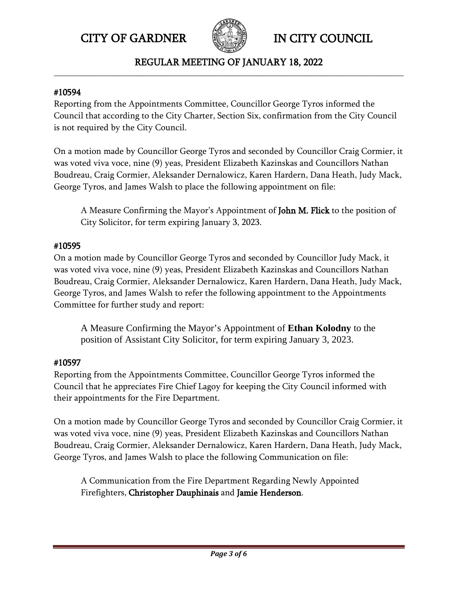

#### REGULAR MEETING OF JANUARY 18, 2022 **\_\_\_\_\_\_\_\_\_\_\_\_\_\_\_\_\_\_\_\_\_\_\_\_\_\_\_\_\_\_\_\_\_\_\_\_\_\_\_\_\_\_\_\_\_\_\_\_\_\_\_\_\_\_\_\_\_\_\_\_\_\_\_\_\_\_\_\_\_\_\_\_\_\_\_\_\_\_\_\_\_\_\_\_\_**

#### #10594

Reporting from the Appointments Committee, Councillor George Tyros informed the Council that according to the City Charter, Section Six, confirmation from the City Council is not required by the City Council.

On a motion made by Councillor George Tyros and seconded by Councillor Craig Cormier, it was voted viva voce, nine (9) yeas, President Elizabeth Kazinskas and Councillors Nathan Boudreau, Craig Cormier, Aleksander Dernalowicz, Karen Hardern, Dana Heath, Judy Mack, George Tyros, and James Walsh to place the following appointment on file:

A Measure Confirming the Mayor's Appointment of John M. Flick to the position of City Solicitor, for term expiring January 3, 2023.

### #10595

On a motion made by Councillor George Tyros and seconded by Councillor Judy Mack, it was voted viva voce, nine (9) yeas, President Elizabeth Kazinskas and Councillors Nathan Boudreau, Craig Cormier, Aleksander Dernalowicz, Karen Hardern, Dana Heath, Judy Mack, George Tyros, and James Walsh to refer the following appointment to the Appointments Committee for further study and report:

A Measure Confirming the Mayor's Appointment of **Ethan Kolodny** to the position of Assistant City Solicitor, for term expiring January 3, 2023.

### #10597

Reporting from the Appointments Committee, Councillor George Tyros informed the Council that he appreciates Fire Chief Lagoy for keeping the City Council informed with their appointments for the Fire Department.

On a motion made by Councillor George Tyros and seconded by Councillor Craig Cormier, it was voted viva voce, nine (9) yeas, President Elizabeth Kazinskas and Councillors Nathan Boudreau, Craig Cormier, Aleksander Dernalowicz, Karen Hardern, Dana Heath, Judy Mack, George Tyros, and James Walsh to place the following Communication on file:

A Communication from the Fire Department Regarding Newly Appointed Firefighters, Christopher Dauphinais and Jamie Henderson.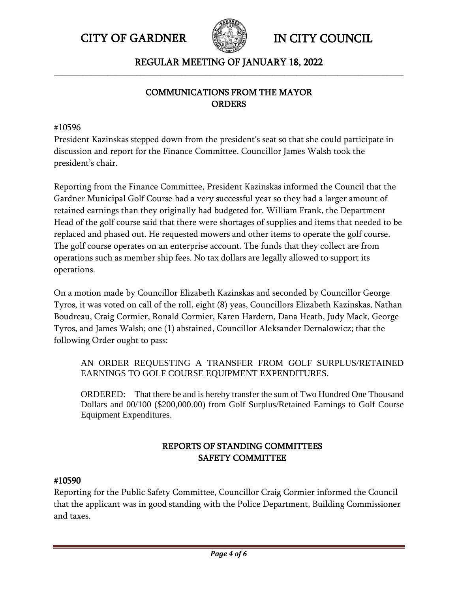



### REGULAR MEETING OF JANUARY 18, 2022 **\_\_\_\_\_\_\_\_\_\_\_\_\_\_\_\_\_\_\_\_\_\_\_\_\_\_\_\_\_\_\_\_\_\_\_\_\_\_\_\_\_\_\_\_\_\_\_\_\_\_\_\_\_\_\_\_\_\_\_\_\_\_\_\_\_\_\_\_\_\_\_\_\_\_\_\_\_\_\_\_\_\_\_\_\_**

# COMMUNICATIONS FROM THE MAYOR **ORDERS**

#### #10596

President Kazinskas stepped down from the president's seat so that she could participate in discussion and report for the Finance Committee. Councillor James Walsh took the president's chair.

Reporting from the Finance Committee, President Kazinskas informed the Council that the Gardner Municipal Golf Course had a very successful year so they had a larger amount of retained earnings than they originally had budgeted for. William Frank, the Department Head of the golf course said that there were shortages of supplies and items that needed to be replaced and phased out. He requested mowers and other items to operate the golf course. The golf course operates on an enterprise account. The funds that they collect are from operations such as member ship fees. No tax dollars are legally allowed to support its operations.

On a motion made by Councillor Elizabeth Kazinskas and seconded by Councillor George Tyros, it was voted on call of the roll, eight (8) yeas, Councillors Elizabeth Kazinskas, Nathan Boudreau, Craig Cormier, Ronald Cormier, Karen Hardern, Dana Heath, Judy Mack, George Tyros, and James Walsh; one (1) abstained, Councillor Aleksander Dernalowicz; that the following Order ought to pass:

AN ORDER REQUESTING A TRANSFER FROM GOLF SURPLUS/RETAINED EARNINGS TO GOLF COURSE EQUIPMENT EXPENDITURES.

ORDERED: That there be and is hereby transfer the sum of Two Hundred One Thousand Dollars and 00/100 (\$200,000.00) from Golf Surplus/Retained Earnings to Golf Course Equipment Expenditures.

# REPORTS OF STANDING COMMITTEES SAFETY COMMITTEE

#### #10590

Reporting for the Public Safety Committee, Councillor Craig Cormier informed the Council that the applicant was in good standing with the Police Department, Building Commissioner and taxes.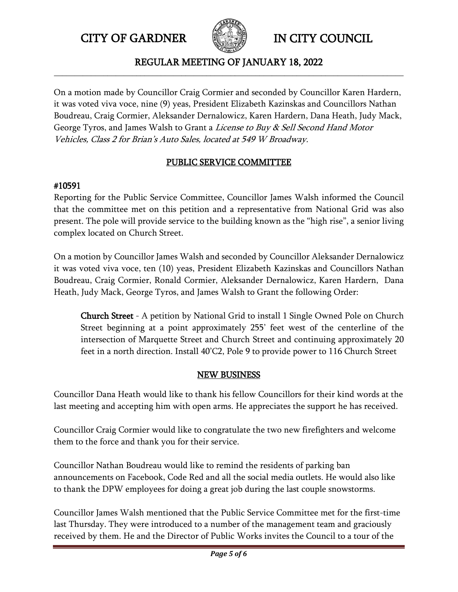

#### REGULAR MEETING OF JANUARY 18, 2022 **\_\_\_\_\_\_\_\_\_\_\_\_\_\_\_\_\_\_\_\_\_\_\_\_\_\_\_\_\_\_\_\_\_\_\_\_\_\_\_\_\_\_\_\_\_\_\_\_\_\_\_\_\_\_\_\_\_\_\_\_\_\_\_\_\_\_\_\_\_\_\_\_\_\_\_\_\_\_\_\_\_\_\_\_\_**

On a motion made by Councillor Craig Cormier and seconded by Councillor Karen Hardern, it was voted viva voce, nine (9) yeas, President Elizabeth Kazinskas and Councillors Nathan Boudreau, Craig Cormier, Aleksander Dernalowicz, Karen Hardern, Dana Heath, Judy Mack, George Tyros, and James Walsh to Grant a *License to Buy & Sell Second Hand Motor* Vehicles, Class 2 for Brian's Auto Sales, located at 549 W Broadway.

# PUBLIC SERVICE COMMITTEE

# #10591

Reporting for the Public Service Committee, Councillor James Walsh informed the Council that the committee met on this petition and a representative from National Grid was also present. The pole will provide service to the building known as the "high rise", a senior living complex located on Church Street.

On a motion by Councillor James Walsh and seconded by Councillor Aleksander Dernalowicz it was voted viva voce, ten (10) yeas, President Elizabeth Kazinskas and Councillors Nathan Boudreau, Craig Cormier, Ronald Cormier, Aleksander Dernalowicz, Karen Hardern, Dana Heath, Judy Mack, George Tyros, and James Walsh to Grant the following Order:

Church Street - A petition by National Grid to install 1 Single Owned Pole on Church Street beginning at a point approximately 255' feet west of the centerline of the intersection of Marquette Street and Church Street and continuing approximately 20 feet in a north direction. Install 40'C2, Pole 9 to provide power to 116 Church Street

# **NEW BUSINESS**

Councillor Dana Heath would like to thank his fellow Councillors for their kind words at the last meeting and accepting him with open arms. He appreciates the support he has received.

Councillor Craig Cormier would like to congratulate the two new firefighters and welcome them to the force and thank you for their service.

Councillor Nathan Boudreau would like to remind the residents of parking ban announcements on Facebook, Code Red and all the social media outlets. He would also like to thank the DPW employees for doing a great job during the last couple snowstorms.

Councillor James Walsh mentioned that the Public Service Committee met for the first-time last Thursday. They were introduced to a number of the management team and graciously received by them. He and the Director of Public Works invites the Council to a tour of the